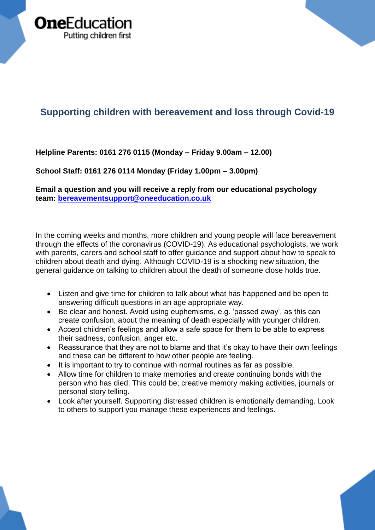

## **Supporting children with bereavement and loss through Covid-19**

**Helpline Parents: 0161 276 0115 (Monday – Friday 9.00am – 12.00)** 

**School Staff: 0161 276 0114 Monday (Friday 1.00pm – 3.00pm)**

**Email a question and you will receive a reply from our educational psychology team: [bereavementsupport@oneeducation.co.uk](mailto:bereavementsupport@oneeducation.co.uk)**

In the coming weeks and months, more children and young people will face bereavement through the effects of the coronavirus (COVID-19). As educational psychologists, we work with parents, carers and school staff to offer guidance and support about how to speak to children about death and dying. Although COVID-19 is a shocking new situation, the general guidance on talking to children about the death of someone close holds true.

- Listen and give time for children to talk about what has happened and be open to answering difficult questions in an age appropriate way.
- Be clear and honest. Avoid using euphemisms, e.g. 'passed away', as this can create confusion, about the meaning of death especially with younger children.
- Accept children's feelings and allow a safe space for them to be able to express their sadness, confusion, anger etc.
- Reassurance that they are not to blame and that it's okay to have their own feelings and these can be different to how other people are feeling.
- It is important to try to continue with normal routines as far as possible.
- Allow time for children to make memories and create continuing bonds with the person who has died. This could be; creative memory making activities, journals or personal story telling.
- Look after yourself. Supporting distressed children is emotionally demanding. Look to others to support you manage these experiences and feelings.